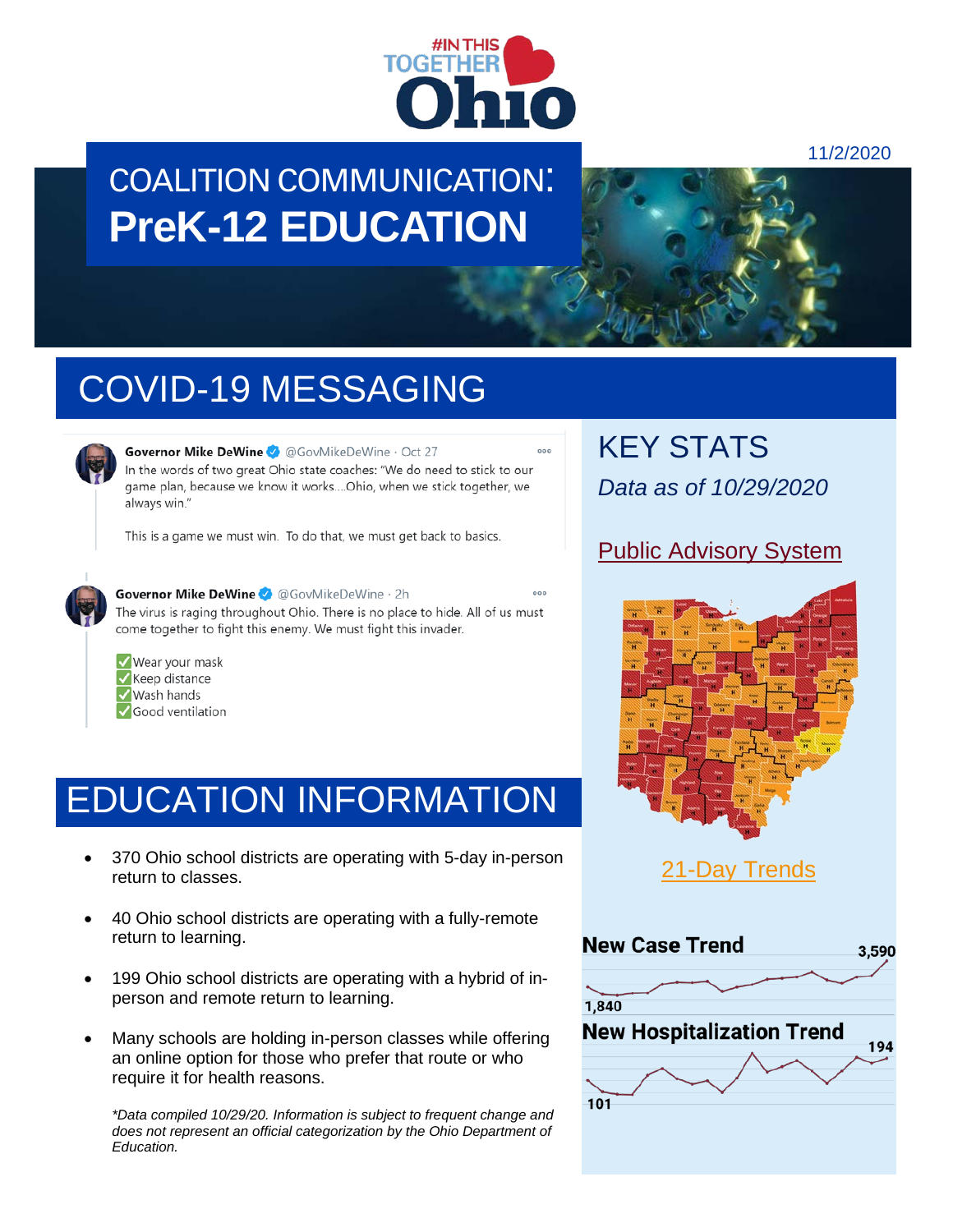

## COALITION COMMUNICATION: **PreK-12 EDUCATION**



# COVID-19 MESSAGING



Governor Mike DeWine 3 @GovMikeDeWine · Oct 27 In the words of two great Ohio state coaches: "We do need to stick to our game plan, because we know it works....Ohio, when we stick together, we always win."

This is a game we must win. To do that, we must get back to basics.



Governor Mike DeWine & @GovMikeDeWine . 2h

The virus is raging throughout Ohio. There is no place to hide. All of us must come together to fight this enemy. We must fight this invader.

Wear your mask Keep distance Wash hands Good ventilation

### EDUCATION INFORMATION

- 370 Ohio school districts are operating with 5-day in-person return to classes.
- 40 Ohio school districts are operating with a fully-remote return to learning.
- 199 Ohio school districts are operating with a hybrid of inperson and remote return to learning.
- Many schools are holding in-person classes while offering an online option for those who prefer that route or who require it for health reasons.

*\*Data compiled 10/29/20. Information is subject to frequent change and does not represent an official categorization by the Ohio Department of Education.*

KEY STATS *Data as of 10/29/2020*

### [Public Advisory System](https://coronavirus.ohio.gov/wps/portal/gov/covid-19/public-health-advisory-system)



[21-Day Trends](https://coronavirus.ohio.gov/wps/portal/gov/covid-19/dashboards/current-trends)

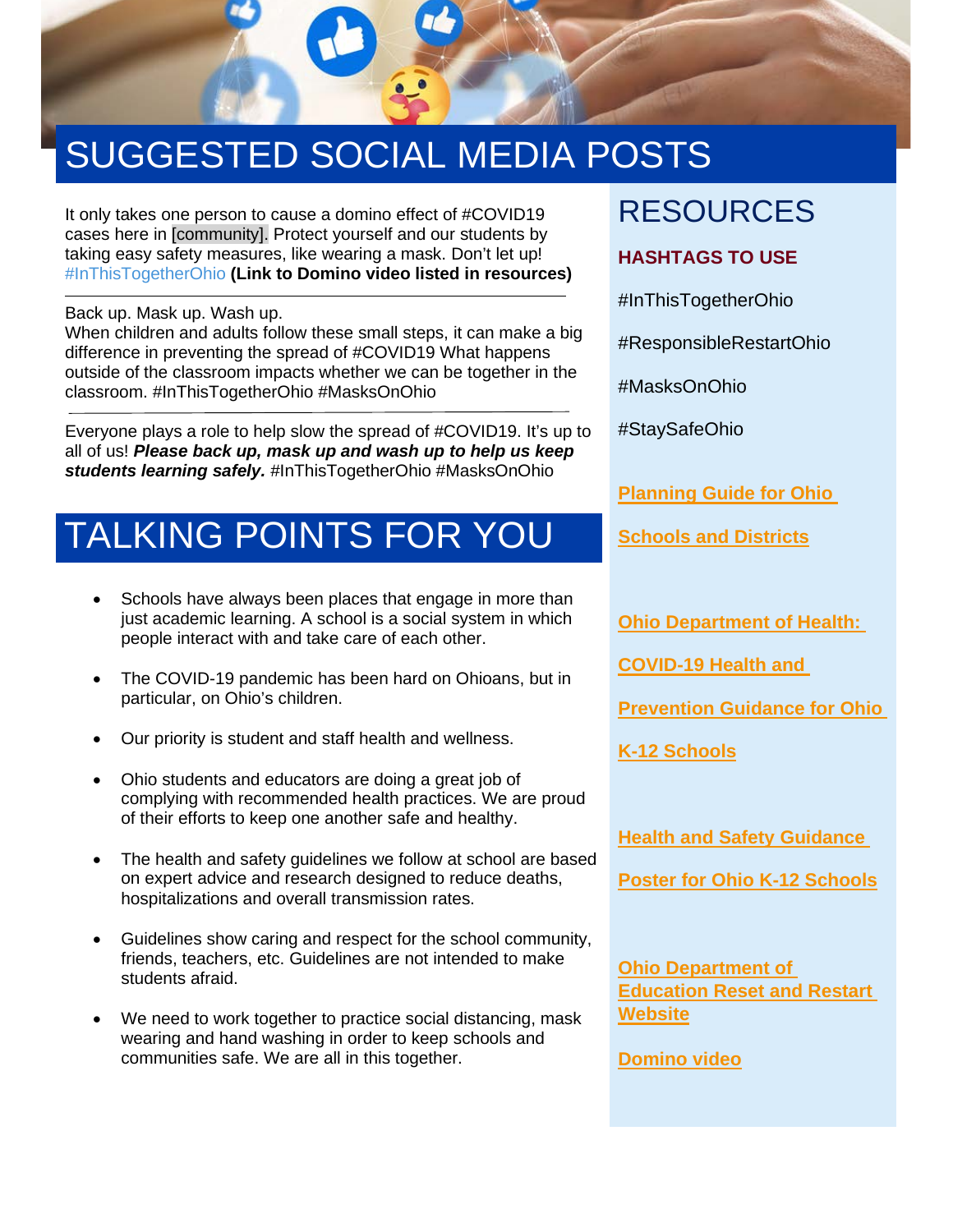

# SUGGESTED SOCIAL MEDIA POSTS

It only takes one person to cause a domino effect of #COVID19 cases here in [community]. Protect yourself and our students by taking easy safety measures, like wearing a mask. Don't let up! #InThisTogetherOhio **(Link to Domino video listed in resources)**

Back up. Mask up. Wash up.

When children and adults follow these small steps, it can make a big difference in preventing the spread of #COVID19 What happens outside of the classroom impacts whether we can be together in the classroom. #InThisTogetherOhio #MasksOnOhio

Everyone plays a role to help slow the spread of #COVID19. It's up to all of us! *Please back up, mask up and wash up to help us keep students learning safely.* #InThisTogetherOhio #MasksOnOhio

## TALKING POINTS FOR YOU

- Schools have always been places that engage in more than just academic learning. A school is a social system in which people interact with and take care of each other.
- The COVID-19 pandemic has been hard on Ohioans, but in particular, on Ohio's children.
- Our priority is student and staff health and wellness.
- Ohio students and educators are doing a great job of complying with recommended health practices. We are proud of their efforts to keep one another safe and healthy.
- The health and safety quidelines we follow at school are based on expert advice and research designed to reduce deaths, hospitalizations and overall transmission rates.
- Guidelines show caring and respect for the school community, friends, teachers, etc. Guidelines are not intended to make students afraid.
- We need to work together to practice social distancing, mask wearing and hand washing in order to keep schools and communities safe. We are all in this together.

### RESOURCES

#### **HASHTAGS TO USE**

#InThisTogetherOhio

#ResponsibleRestartOhio

#MasksOnOhio

#StaySafeOhio

**[Planning Guide for Ohio](http://education.ohio.gov/getattachment/Topics/Reset-and-Restart/Reset-Restart-Guide.pdf.aspx?lang=en-US)** 

**[Schools and Districts](http://education.ohio.gov/getattachment/Topics/Reset-and-Restart/Reset-Restart-Guide.pdf.aspx?lang=en-US)**

**Ohio Department of Health:** 

**[COVID-19 Health and](http://coronavirus.ohio.gov/static/responsible/schools/K-12-Schools-Guidance.pdf)** 

**Prevention Guidance for Ohio** 

**[K-12 Schools](http://coronavirus.ohio.gov/static/responsible/schools/K-12-Schools-Guidance.pdf)**

**[Health and Safety Guidance](https://coronavirus.ohio.gov/static/responsible/schools/cover-page-poster.pdf)** 

**[Poster for Ohio K-12 Schools](https://coronavirus.ohio.gov/static/responsible/schools/cover-page-poster.pdf)**

**[Ohio Department of](http://education.ohio.gov/Topics/Reset-and-Restart)  [Education Reset and Restart](http://education.ohio.gov/Topics/Reset-and-Restart)  [Website](http://education.ohio.gov/Topics/Reset-and-Restart)**

**[Domino video](https://www.youtube.com/watch?v=cf5ZJ3lwvS8)**